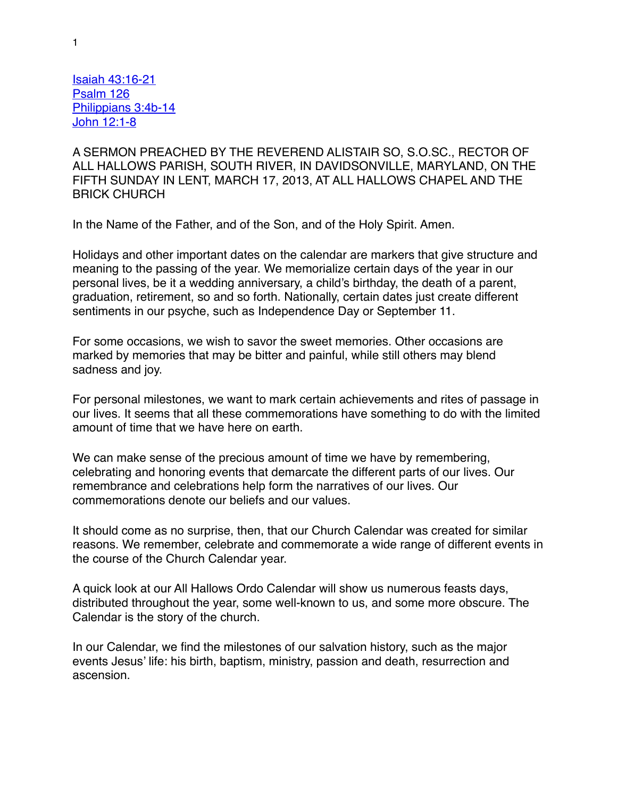Isaiah 43:16-21 Psalm 126 Philippians 3:4b-14 John 12:1-8

A SERMON PREACHED BY THE REVEREND ALISTAIR SO, S.O.SC., RECTOR OF ALL HALLOWS PARISH, SOUTH RIVER, IN DAVIDSONVILLE, MARYLAND, ON THE FIFTH SUNDAY IN LENT, MARCH 17, 2013, AT ALL HALLOWS CHAPEL AND THE BRICK CHURCH

In the Name of the Father, and of the Son, and of the Holy Spirit. Amen.

Holidays and other important dates on the calendar are markers that give structure and meaning to the passing of the year. We memorialize certain days of the year in our personal lives, be it a wedding anniversary, a child's birthday, the death of a parent, graduation, retirement, so and so forth. Nationally, certain dates just create different sentiments in our psyche, such as Independence Day or September 11.

For some occasions, we wish to savor the sweet memories. Other occasions are marked by memories that may be bitter and painful, while still others may blend sadness and joy.

For personal milestones, we want to mark certain achievements and rites of passage in our lives. It seems that all these commemorations have something to do with the limited amount of time that we have here on earth.

We can make sense of the precious amount of time we have by remembering, celebrating and honoring events that demarcate the different parts of our lives. Our remembrance and celebrations help form the narratives of our lives. Our commemorations denote our beliefs and our values.

It should come as no surprise, then, that our Church Calendar was created for similar reasons. We remember, celebrate and commemorate a wide range of different events in the course of the Church Calendar year.

A quick look at our All Hallows Ordo Calendar will show us numerous feasts days, distributed throughout the year, some well-known to us, and some more obscure. The Calendar is the story of the church.

In our Calendar, we find the milestones of our salvation history, such as the major events Jesus' life: his birth, baptism, ministry, passion and death, resurrection and ascension.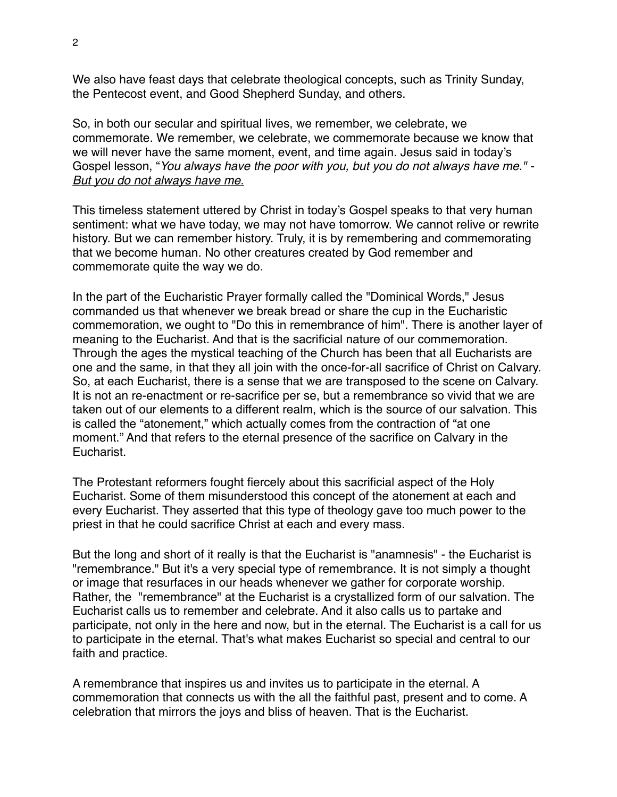We also have feast days that celebrate theological concepts, such as Trinity Sunday, the Pentecost event, and Good Shepherd Sunday, and others.

So, in both our secular and spiritual lives, we remember, we celebrate, we commemorate. We remember, we celebrate, we commemorate because we know that we will never have the same moment, event, and time again. Jesus said in today's Gospel lesson, "*You always have the poor with you, but you do not always have me." - But you do not always have me.*

This timeless statement uttered by Christ in today's Gospel speaks to that very human sentiment: what we have today, we may not have tomorrow. We cannot relive or rewrite history. But we can remember history. Truly, it is by remembering and commemorating that we become human. No other creatures created by God remember and commemorate quite the way we do.

In the part of the Eucharistic Prayer formally called the "Dominical Words," Jesus commanded us that whenever we break bread or share the cup in the Eucharistic commemoration, we ought to "Do this in remembrance of him". There is another layer of meaning to the Eucharist. And that is the sacrificial nature of our commemoration. Through the ages the mystical teaching of the Church has been that all Eucharists are one and the same, in that they all join with the once-for-all sacrifice of Christ on Calvary. So, at each Eucharist, there is a sense that we are transposed to the scene on Calvary. It is not an re-enactment or re-sacrifice per se, but a remembrance so vivid that we are taken out of our elements to a different realm, which is the source of our salvation. This is called the "atonement," which actually comes from the contraction of "at one moment." And that refers to the eternal presence of the sacrifice on Calvary in the Eucharist.

The Protestant reformers fought fiercely about this sacrificial aspect of the Holy Eucharist. Some of them misunderstood this concept of the atonement at each and every Eucharist. They asserted that this type of theology gave too much power to the priest in that he could sacrifice Christ at each and every mass.

But the long and short of it really is that the Eucharist is "anamnesis" - the Eucharist is "remembrance." But it's a very special type of remembrance. It is not simply a thought or image that resurfaces in our heads whenever we gather for corporate worship. Rather, the "remembrance" at the Eucharist is a crystallized form of our salvation. The Eucharist calls us to remember and celebrate. And it also calls us to partake and participate, not only in the here and now, but in the eternal. The Eucharist is a call for us to participate in the eternal. That's what makes Eucharist so special and central to our faith and practice.

A remembrance that inspires us and invites us to participate in the eternal. A commemoration that connects us with the all the faithful past, present and to come. A celebration that mirrors the joys and bliss of heaven. That is the Eucharist.